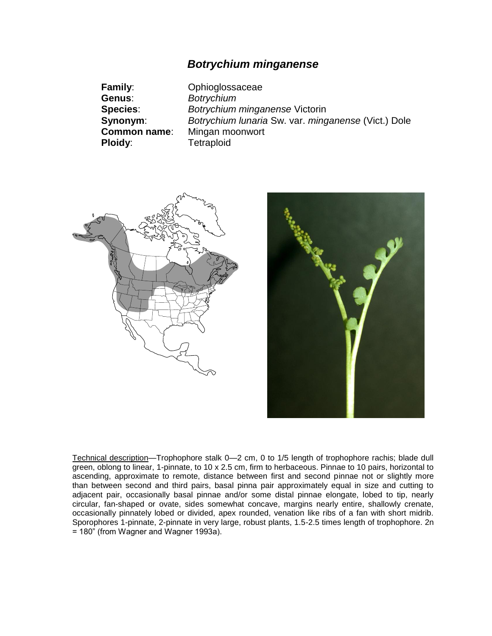# *Botrychium minganense*

| <b>Family:</b>      | Ophioglossaceae                                     |
|---------------------|-----------------------------------------------------|
| Genus:              | <b>Botrychium</b>                                   |
| <b>Species:</b>     | Botrychium minganense Victorin                      |
| Synonym:            | Botrychium Iunaria Sw. var. minganense (Vict.) Dole |
| <b>Common name:</b> | Mingan moonwort                                     |
| <b>Ploidy:</b>      | <b>Tetraploid</b>                                   |





Technical description-Trophophore stalk 0-2 cm, 0 to 1/5 length of trophophore rachis; blade dull green, oblong to linear, 1-pinnate, to 10 x 2.5 cm, firm to herbaceous. Pinnae to 10 pairs, horizontal to ascending, approximate to remote, distance between first and second pinnae not or slightly more than between second and third pairs, basal pinna pair approximately equal in size and cutting to adjacent pair, occasionally basal pinnae and/or some distal pinnae elongate, lobed to tip, nearly circular, fan-shaped or ovate, sides somewhat concave, margins nearly entire, shallowly crenate, occasionally pinnately lobed or divided, apex rounded, venation like ribs of a fan with short midrib*.* Sporophores 1-pinnate, 2-pinnate in very large, robust plants, 1.5-2.5 times length of trophophore. 2n = 180" (from Wagner and Wagner 1993a).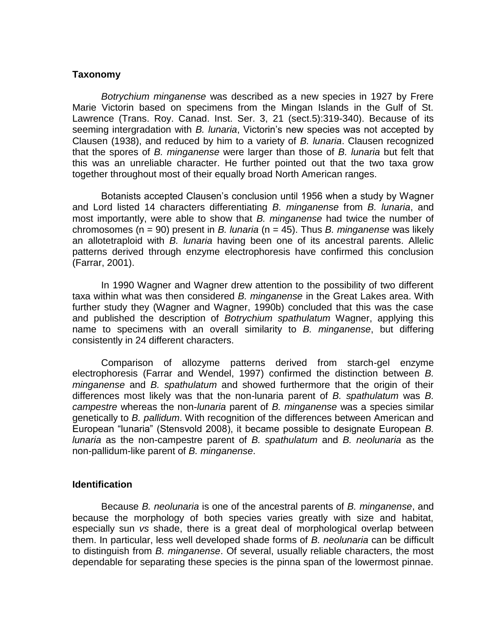### **Taxonomy**

*Botrychium minganense* was described as a new species in 1927 by Frere Marie Victorin based on specimens from the Mingan Islands in the Gulf of St. Lawrence (Trans. Roy. Canad. Inst. Ser. 3, 21 (sect.5):319-340). Because of its seeming intergradation with *B. lunaria*, Victorin's new species was not accepted by Clausen (1938), and reduced by him to a variety of *B. lunaria*. Clausen recognized that the spores of *B. minganense* were larger than those of *B. lunaria* but felt that this was an unreliable character. He further pointed out that the two taxa grow together throughout most of their equally broad North American ranges.

Botanists accepted Clausen's conclusion until 1956 when a study by Wagner and Lord listed 14 characters differentiating *B. minganense* from *B. lunaria*, and most importantly, were able to show that *B. minganense* had twice the number of chromosomes (n = 90) present in *B. lunaria* (n = 45). Thus *B. minganense* was likely an allotetraploid with *B. lunaria* having been one of its ancestral parents. Allelic patterns derived through enzyme electrophoresis have confirmed this conclusion (Farrar, 2001).

In 1990 Wagner and Wagner drew attention to the possibility of two different taxa within what was then considered *B. minganense* in the Great Lakes area. With further study they (Wagner and Wagner, 1990b) concluded that this was the case and published the description of *Botrychium spathulatum* Wagner, applying this name to specimens with an overall similarity to *B. minganense*, but differing consistently in 24 different characters.

Comparison of allozyme patterns derived from starch-gel enzyme electrophoresis (Farrar and Wendel, 1997) confirmed the distinction between *B. minganense* and *B. spathulatum* and showed furthermore that the origin of their differences most likely was that the non-lunaria parent of *B. spathulatum* was *B. campestre* whereas the non-*lunaria* parent of *B. minganense* was a species similar genetically to *B. pallidum*. With recognition of the differences between American and European "lunaria" (Stensvold 2008), it became possible to designate European *B. lunaria* as the non-campestre parent of *B. spathulatum* and *B. neolunaria* as the non-pallidum-like parent of *B. minganense*.

#### **Identification**

Because *B. neolunaria* is one of the ancestral parents of *B. minganense*, and because the morphology of both species varies greatly with size and habitat, especially sun *vs* shade, there is a great deal of morphological overlap between them. In particular, less well developed shade forms of *B. neolunaria* can be difficult to distinguish from *B. minganense*. Of several, usually reliable characters, the most dependable for separating these species is the pinna span of the lowermost pinnae.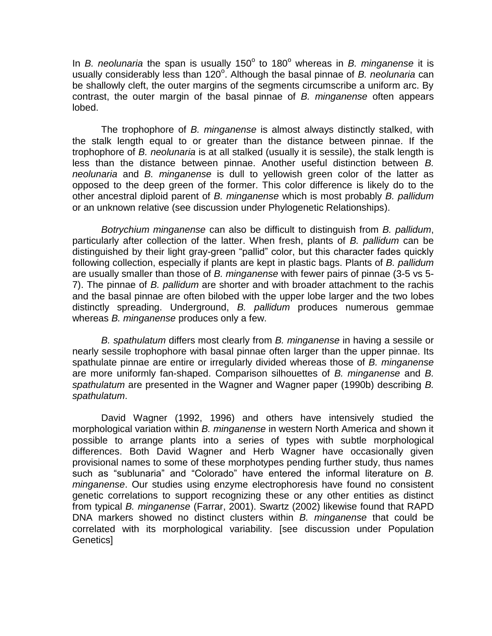In *B. neolunaria* the span is usually 150° to 180° whereas in *B. minganense* it is usually considerably less than 120°. Although the basal pinnae of *B. neolunaria* can be shallowly cleft, the outer margins of the segments circumscribe a uniform arc. By contrast, the outer margin of the basal pinnae of *B. minganense* often appears lobed.

The trophophore of *B. minganense* is almost always distinctly stalked, with the stalk length equal to or greater than the distance between pinnae. If the trophophore of *B. neolunaria* is at all stalked (usually it is sessile), the stalk length is less than the distance between pinnae. Another useful distinction between *B. neolunaria* and *B. minganense* is dull to yellowish green color of the latter as opposed to the deep green of the former. This color difference is likely do to the other ancestral diploid parent of *B. minganense* which is most probably *B. pallidum* or an unknown relative (see discussion under Phylogenetic Relationships).

*Botrychium minganense* can also be difficult to distinguish from *B. pallidum*, particularly after collection of the latter. When fresh, plants of *B. pallidum* can be distinguished by their light gray-green "pallid" color, but this character fades quickly following collection, especially if plants are kept in plastic bags. Plants of *B. pallidum* are usually smaller than those of *B. minganense* with fewer pairs of pinnae (3-5 vs 5- 7). The pinnae of *B. pallidum* are shorter and with broader attachment to the rachis and the basal pinnae are often bilobed with the upper lobe larger and the two lobes distinctly spreading. Underground, *B. pallidum* produces numerous gemmae whereas *B. minganense* produces only a few.

*B. spathulatum* differs most clearly from *B. minganense* in having a sessile or nearly sessile trophophore with basal pinnae often larger than the upper pinnae. Its spathulate pinnae are entire or irregularly divided whereas those of *B. minganense* are more uniformly fan-shaped. Comparison silhouettes of *B. minganense* and *B. spathulatum* are presented in the Wagner and Wagner paper (1990b) describing *B. spathulatum*.

David Wagner (1992, 1996) and others have intensively studied the morphological variation within *B. minganense* in western North America and shown it possible to arrange plants into a series of types with subtle morphological differences. Both David Wagner and Herb Wagner have occasionally given provisional names to some of these morphotypes pending further study, thus names such as "sublunaria" and "Colorado" have entered the informal literature on *B. minganense*. Our studies using enzyme electrophoresis have found no consistent genetic correlations to support recognizing these or any other entities as distinct from typical *B. minganense* (Farrar, 2001). Swartz (2002) likewise found that RAPD DNA markers showed no distinct clusters within *B. minganense* that could be correlated with its morphological variability. [see discussion under Population Genetics]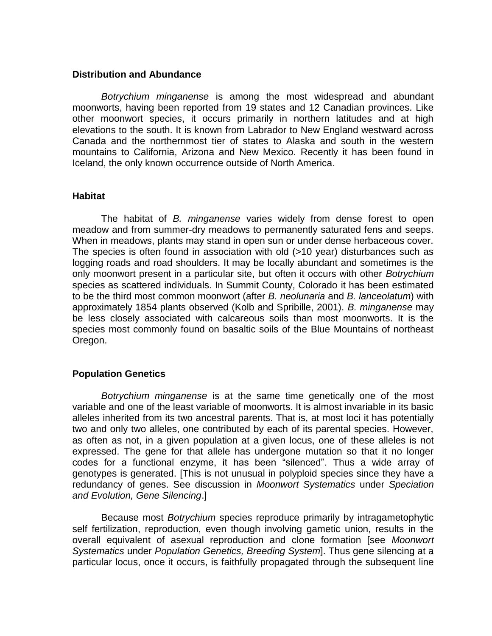### **Distribution and Abundance**

*Botrychium minganense* is among the most widespread and abundant moonworts, having been reported from 19 states and 12 Canadian provinces. Like other moonwort species, it occurs primarily in northern latitudes and at high elevations to the south. It is known from Labrador to New England westward across Canada and the northernmost tier of states to Alaska and south in the western mountains to California, Arizona and New Mexico. Recently it has been found in Iceland, the only known occurrence outside of North America.

### **Habitat**

The habitat of *B. minganense* varies widely from dense forest to open meadow and from summer-dry meadows to permanently saturated fens and seeps. When in meadows, plants may stand in open sun or under dense herbaceous cover. The species is often found in association with old (>10 year) disturbances such as logging roads and road shoulders. It may be locally abundant and sometimes is the only moonwort present in a particular site, but often it occurs with other *Botrychium* species as scattered individuals. In Summit County, Colorado it has been estimated to be the third most common moonwort (after *B. neolunaria* and *B. lanceolatum*) with approximately 1854 plants observed (Kolb and Spribille, 2001). *B. minganense* may be less closely associated with calcareous soils than most moonworts. It is the species most commonly found on basaltic soils of the Blue Mountains of northeast Oregon.

## **Population Genetics**

*Botrychium minganense* is at the same time genetically one of the most variable and one of the least variable of moonworts. It is almost invariable in its basic alleles inherited from its two ancestral parents. That is, at most loci it has potentially two and only two alleles, one contributed by each of its parental species. However, as often as not, in a given population at a given locus, one of these alleles is not expressed. The gene for that allele has undergone mutation so that it no longer codes for a functional enzyme, it has been "silenced". Thus a wide array of genotypes is generated. [This is not unusual in polyploid species since they have a redundancy of genes. See discussion in *Moonwort Systematics* under *Speciation and Evolution, Gene Silencing*.]

Because most *Botrychium* species reproduce primarily by intragametophytic self fertilization, reproduction, even though involving gametic union, results in the overall equivalent of asexual reproduction and clone formation [see *Moonwort Systematics* under *Population Genetics, Breeding System*]. Thus gene silencing at a particular locus, once it occurs, is faithfully propagated through the subsequent line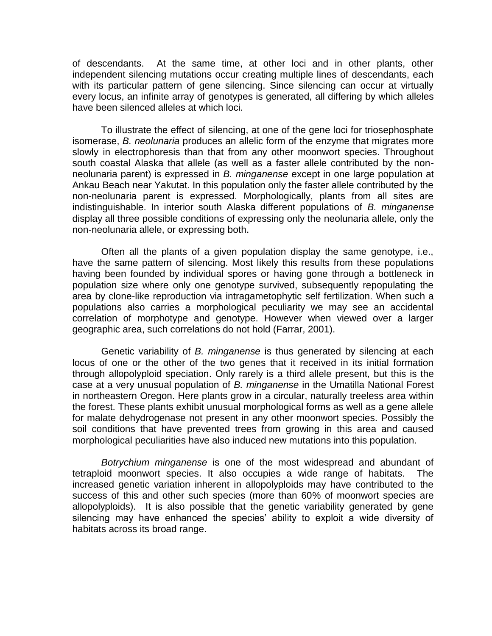of descendants. At the same time, at other loci and in other plants, other independent silencing mutations occur creating multiple lines of descendants, each with its particular pattern of gene silencing. Since silencing can occur at virtually every locus, an infinite array of genotypes is generated, all differing by which alleles have been silenced alleles at which loci.

To illustrate the effect of silencing, at one of the gene loci for triosephosphate isomerase, *B. neolunaria* produces an allelic form of the enzyme that migrates more slowly in electrophoresis than that from any other moonwort species. Throughout south coastal Alaska that allele (as well as a faster allele contributed by the nonneolunaria parent) is expressed in *B. minganense* except in one large population at Ankau Beach near Yakutat. In this population only the faster allele contributed by the non-neolunaria parent is expressed. Morphologically, plants from all sites are indistinguishable. In interior south Alaska different populations of *B. minganense* display all three possible conditions of expressing only the neolunaria allele, only the non-neolunaria allele, or expressing both.

Often all the plants of a given population display the same genotype, i.e., have the same pattern of silencing. Most likely this results from these populations having been founded by individual spores or having gone through a bottleneck in population size where only one genotype survived, subsequently repopulating the area by clone-like reproduction via intragametophytic self fertilization. When such a populations also carries a morphological peculiarity we may see an accidental correlation of morphotype and genotype. However when viewed over a larger geographic area, such correlations do not hold (Farrar, 2001).

Genetic variability of *B. minganense* is thus generated by silencing at each locus of one or the other of the two genes that it received in its initial formation through allopolyploid speciation. Only rarely is a third allele present, but this is the case at a very unusual population of *B. minganense* in the Umatilla National Forest in northeastern Oregon. Here plants grow in a circular, naturally treeless area within the forest. These plants exhibit unusual morphological forms as well as a gene allele for malate dehydrogenase not present in any other moonwort species. Possibly the soil conditions that have prevented trees from growing in this area and caused morphological peculiarities have also induced new mutations into this population.

*Botrychium minganense* is one of the most widespread and abundant of tetraploid moonwort species. It also occupies a wide range of habitats. The increased genetic variation inherent in allopolyploids may have contributed to the success of this and other such species (more than 60% of moonwort species are allopolyploids). It is also possible that the genetic variability generated by gene silencing may have enhanced the species' ability to exploit a wide diversity of habitats across its broad range.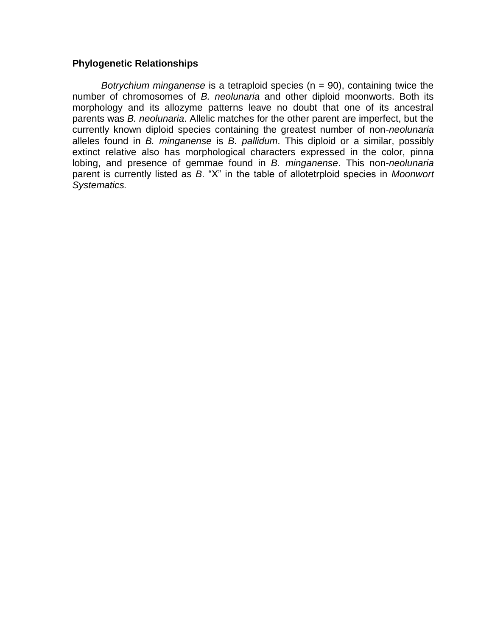## **Phylogenetic Relationships**

*Botrychium minganense* is a tetraploid species (n = 90), containing twice the number of chromosomes of *B. neolunaria* and other diploid moonworts. Both its morphology and its allozyme patterns leave no doubt that one of its ancestral parents was *B. neolunaria*. Allelic matches for the other parent are imperfect, but the currently known diploid species containing the greatest number of non-*neolunaria* alleles found in *B. minganense* is *B. pallidum*. This diploid or a similar, possibly extinct relative also has morphological characters expressed in the color, pinna lobing, and presence of gemmae found in *B. minganense*. This non-*neolunaria* parent is currently listed as *B*. "X" in the table of allotetrploid species in *Moonwort Systematics.*